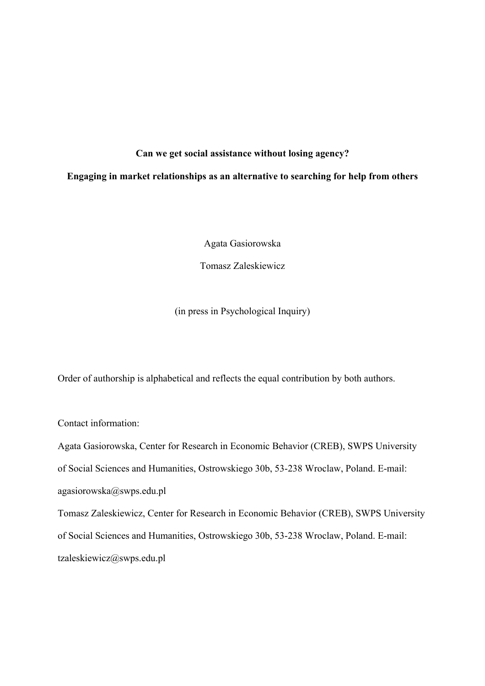## **Can we get social assistance without losing agency?**

## **Engaging in market relationships as an alternative to searching for help from others**

Agata Gasiorowska

Tomasz Zaleskiewicz

(in press in Psychological Inquiry)

Order of authorship is alphabetical and reflects the equal contribution by both authors.

Contact information:

Agata Gasiorowska, Center for Research in Economic Behavior (CREB), SWPS University

of Social Sciences and Humanities, Ostrowskiego 30b, 53-238 Wroclaw, Poland. E-mail:

agasiorowska@swps.edu.pl

Tomasz Zaleskiewicz, Center for Research in Economic Behavior (CREB), SWPS University of Social Sciences and Humanities, Ostrowskiego 30b, 53-238 Wroclaw, Poland. E-mail: tzaleskiewicz@swps.edu.pl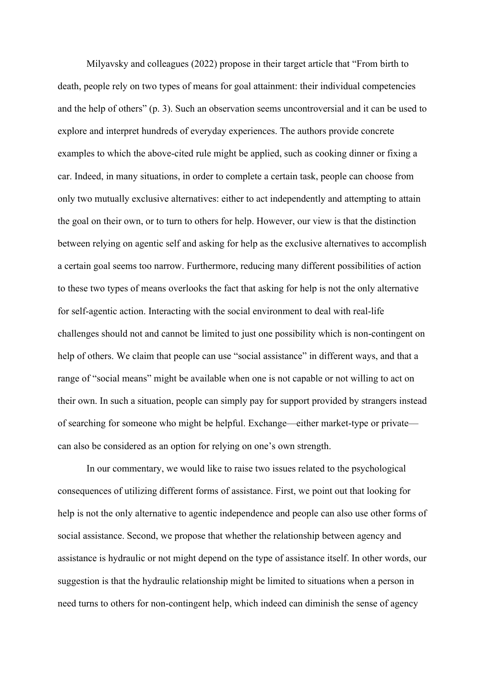Milyavsky and colleagues (2022) propose in their target article that "From birth to death, people rely on two types of means for goal attainment: their individual competencies and the help of others" (p. 3). Such an observation seems uncontroversial and it can be used to explore and interpret hundreds of everyday experiences. The authors provide concrete examples to which the above-cited rule might be applied, such as cooking dinner or fixing a car. Indeed, in many situations, in order to complete a certain task, people can choose from only two mutually exclusive alternatives: either to act independently and attempting to attain the goal on their own, or to turn to others for help. However, our view is that the distinction between relying on agentic self and asking for help as the exclusive alternatives to accomplish a certain goal seems too narrow. Furthermore, reducing many different possibilities of action to these two types of means overlooks the fact that asking for help is not the only alternative for self-agentic action. Interacting with the social environment to deal with real-life challenges should not and cannot be limited to just one possibility which is non-contingent on help of others. We claim that people can use "social assistance" in different ways, and that a range of "social means" might be available when one is not capable or not willing to act on their own. In such a situation, people can simply pay for support provided by strangers instead of searching for someone who might be helpful. Exchange—either market-type or private can also be considered as an option for relying on one's own strength.

In our commentary, we would like to raise two issues related to the psychological consequences of utilizing different forms of assistance. First, we point out that looking for help is not the only alternative to agentic independence and people can also use other forms of social assistance. Second, we propose that whether the relationship between agency and assistance is hydraulic or not might depend on the type of assistance itself. In other words, our suggestion is that the hydraulic relationship might be limited to situations when a person in need turns to others for non-contingent help, which indeed can diminish the sense of agency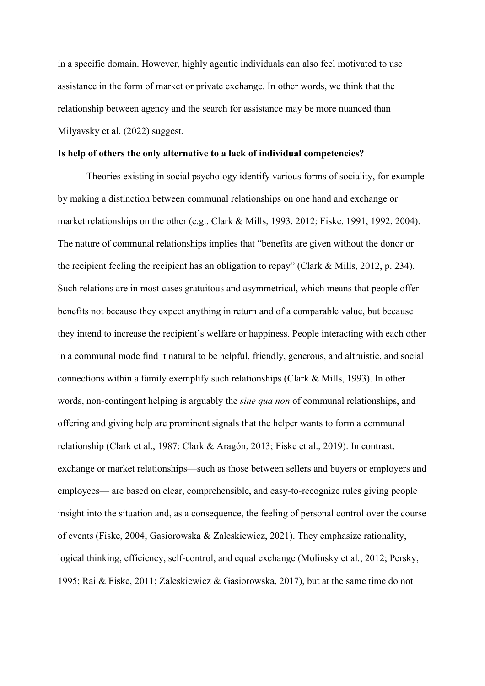in a specific domain. However, highly agentic individuals can also feel motivated to use assistance in the form of market or private exchange. In other words, we think that the relationship between agency and the search for assistance may be more nuanced than Milyavsky et al. (2022) suggest.

### **Is help of others the only alternative to a lack of individual competencies?**

Theories existing in social psychology identify various forms of sociality, for example by making a distinction between communal relationships on one hand and exchange or market relationships on the other (e.g., Clark & Mills, 1993, 2012; Fiske, 1991, 1992, 2004). The nature of communal relationships implies that "benefits are given without the donor or the recipient feeling the recipient has an obligation to repay" (Clark & Mills, 2012, p. 234). Such relations are in most cases gratuitous and asymmetrical, which means that people offer benefits not because they expect anything in return and of a comparable value, but because they intend to increase the recipient's welfare or happiness. People interacting with each other in a communal mode find it natural to be helpful, friendly, generous, and altruistic, and social connections within a family exemplify such relationships (Clark & Mills, 1993). In other words, non-contingent helping is arguably the *sine qua non* of communal relationships, and offering and giving help are prominent signals that the helper wants to form a communal relationship (Clark et al., 1987; Clark & Aragón, 2013; Fiske et al., 2019). In contrast, exchange or market relationships—such as those between sellers and buyers or employers and employees— are based on clear, comprehensible, and easy-to-recognize rules giving people insight into the situation and, as a consequence, the feeling of personal control over the course of events (Fiske, 2004; Gasiorowska & Zaleskiewicz, 2021). They emphasize rationality, logical thinking, efficiency, self-control, and equal exchange (Molinsky et al., 2012; Persky, 1995; Rai & Fiske, 2011; Zaleskiewicz & Gasiorowska, 2017), but at the same time do not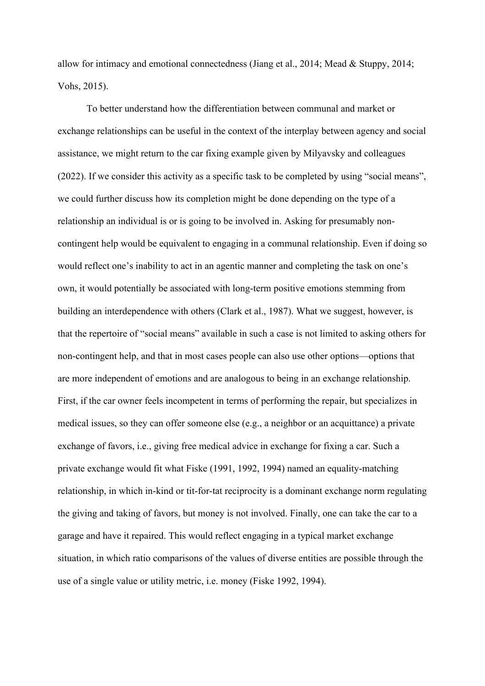allow for intimacy and emotional connectedness (Jiang et al., 2014; Mead & Stuppy, 2014; Vohs, 2015).

To better understand how the differentiation between communal and market or exchange relationships can be useful in the context of the interplay between agency and social assistance, we might return to the car fixing example given by Milyavsky and colleagues (2022). If we consider this activity as a specific task to be completed by using "social means", we could further discuss how its completion might be done depending on the type of a relationship an individual is or is going to be involved in. Asking for presumably noncontingent help would be equivalent to engaging in a communal relationship. Even if doing so would reflect one's inability to act in an agentic manner and completing the task on one's own, it would potentially be associated with long-term positive emotions stemming from building an interdependence with others (Clark et al., 1987). What we suggest, however, is that the repertoire of "social means" available in such a case is not limited to asking others for non-contingent help, and that in most cases people can also use other options—options that are more independent of emotions and are analogous to being in an exchange relationship. First, if the car owner feels incompetent in terms of performing the repair, but specializes in medical issues, so they can offer someone else (e.g., a neighbor or an acquittance) a private exchange of favors, i.e., giving free medical advice in exchange for fixing a car. Such a private exchange would fit what Fiske (1991, 1992, 1994) named an equality-matching relationship, in which in-kind or tit-for-tat reciprocity is a dominant exchange norm regulating the giving and taking of favors, but money is not involved. Finally, one can take the car to a garage and have it repaired. This would reflect engaging in a typical market exchange situation, in which ratio comparisons of the values of diverse entities are possible through the use of a single value or utility metric, i.e. money (Fiske 1992, 1994).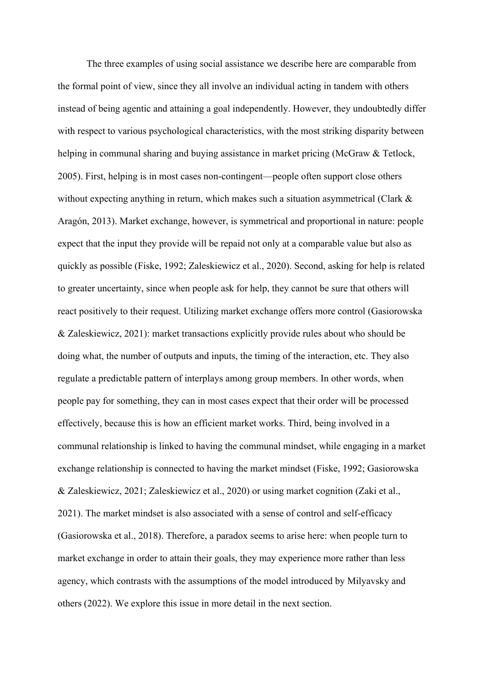The three examples of using social assistance we describe here are comparable from the formal point of view, since they all involve an individual acting in tandem with others instead of being agentic and attaining a goal independently. However, they undoubtedly differ with respect to various psychological characteristics, with the most striking disparity between helping in communal sharing and buying assistance in market pricing (McGraw & Tetlock, 2005). First, helping is in most cases non-contingent—people often support close others without expecting anything in return, which makes such a situation asymmetrical (Clark & Aragón, 2013). Market exchange, however, is symmetrical and proportional in nature: people expect that the input they provide will be repaid not only at a comparable value but also as quickly as possible (Fiske, 1992; Zaleskiewicz et al., 2020). Second, asking for help is related to greater uncertainty, since when people ask for help, they cannot be sure that others will react positively to their request. Utilizing market exchange offers more control (Gasiorowska & Zaleskiewicz, 2021): market transactions explicitly provide rules about who should be doing what, the number of outputs and inputs, the timing of the interaction, etc. They also regulate a predictable pattern of interplays among group members. In other words, when people pay for something, they can in most cases expect that their order will be processed effectively, because this is how an efficient market works. Third, being involved in a communal relationship is linked to having the communal mindset, while engaging in a market exchange relationship is connected to having the market mindset (Fiske, 1992; Gasiorowska & Zaleskiewicz, 2021; Zaleskiewicz et al., 2020) or using market cognition (Zaki et al., 2021). The market mindset is also associated with a sense of control and self-efficacy (Gasiorowska et al., 2018). Therefore, a paradox seems to arise here: when people turn to market exchange in order to attain their goals, they may experience more rather than less agency, which contrasts with the assumptions of the model introduced by Milyavsky and others (2022). We explore this issue in more detail in the next section.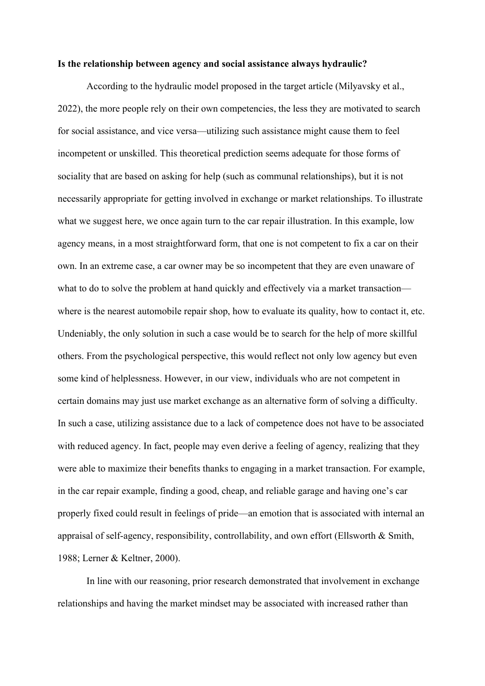#### **Is the relationship between agency and social assistance always hydraulic?**

According to the hydraulic model proposed in the target article (Milyavsky et al., 2022), the more people rely on their own competencies, the less they are motivated to search for social assistance, and vice versa—utilizing such assistance might cause them to feel incompetent or unskilled. This theoretical prediction seems adequate for those forms of sociality that are based on asking for help (such as communal relationships), but it is not necessarily appropriate for getting involved in exchange or market relationships. To illustrate what we suggest here, we once again turn to the car repair illustration. In this example, low agency means, in a most straightforward form, that one is not competent to fix a car on their own. In an extreme case, a car owner may be so incompetent that they are even unaware of what to do to solve the problem at hand quickly and effectively via a market transaction where is the nearest automobile repair shop, how to evaluate its quality, how to contact it, etc. Undeniably, the only solution in such a case would be to search for the help of more skillful others. From the psychological perspective, this would reflect not only low agency but even some kind of helplessness. However, in our view, individuals who are not competent in certain domains may just use market exchange as an alternative form of solving a difficulty. In such a case, utilizing assistance due to a lack of competence does not have to be associated with reduced agency. In fact, people may even derive a feeling of agency, realizing that they were able to maximize their benefits thanks to engaging in a market transaction. For example, in the car repair example, finding a good, cheap, and reliable garage and having one's car properly fixed could result in feelings of pride—an emotion that is associated with internal an appraisal of self-agency, responsibility, controllability, and own effort (Ellsworth & Smith, 1988; Lerner & Keltner, 2000).

In line with our reasoning, prior research demonstrated that involvement in exchange relationships and having the market mindset may be associated with increased rather than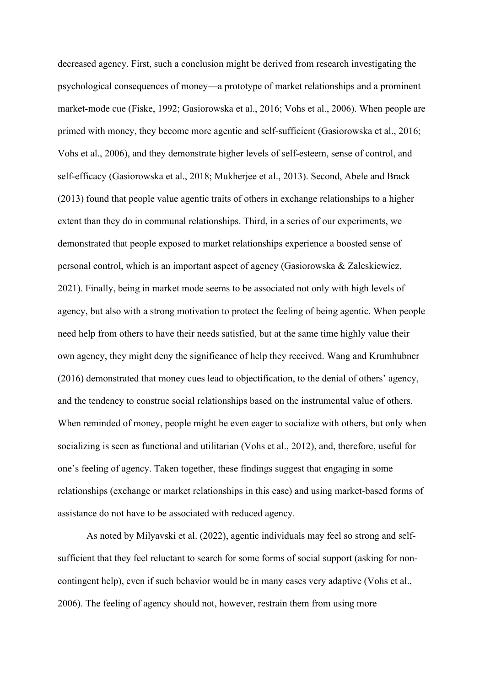decreased agency. First, such a conclusion might be derived from research investigating the psychological consequences of money—a prototype of market relationships and a prominent market-mode cue (Fiske, 1992; Gasiorowska et al., 2016; Vohs et al., 2006). When people are primed with money, they become more agentic and self-sufficient (Gasiorowska et al., 2016; Vohs et al., 2006), and they demonstrate higher levels of self-esteem, sense of control, and self-efficacy (Gasiorowska et al., 2018; Mukherjee et al., 2013). Second, Abele and Brack (2013) found that people value agentic traits of others in exchange relationships to a higher extent than they do in communal relationships. Third, in a series of our experiments, we demonstrated that people exposed to market relationships experience a boosted sense of personal control, which is an important aspect of agency (Gasiorowska & Zaleskiewicz, 2021). Finally, being in market mode seems to be associated not only with high levels of agency, but also with a strong motivation to protect the feeling of being agentic. When people need help from others to have their needs satisfied, but at the same time highly value their own agency, they might deny the significance of help they received. Wang and Krumhubner (2016) demonstrated that money cues lead to objectification, to the denial of others' agency, and the tendency to construe social relationships based on the instrumental value of others. When reminded of money, people might be even eager to socialize with others, but only when socializing is seen as functional and utilitarian (Vohs et al., 2012), and, therefore, useful for one's feeling of agency. Taken together, these findings suggest that engaging in some relationships (exchange or market relationships in this case) and using market-based forms of assistance do not have to be associated with reduced agency.

As noted by Milyavski et al. (2022), agentic individuals may feel so strong and selfsufficient that they feel reluctant to search for some forms of social support (asking for noncontingent help), even if such behavior would be in many cases very adaptive (Vohs et al., 2006). The feeling of agency should not, however, restrain them from using more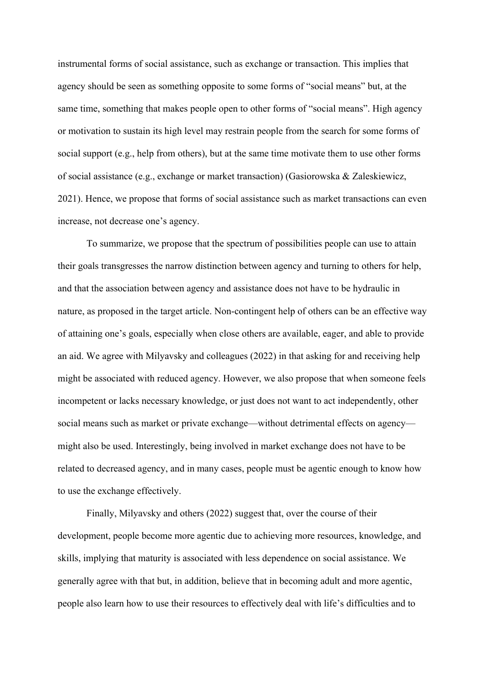instrumental forms of social assistance, such as exchange or transaction. This implies that agency should be seen as something opposite to some forms of "social means" but, at the same time, something that makes people open to other forms of "social means". High agency or motivation to sustain its high level may restrain people from the search for some forms of social support (e.g., help from others), but at the same time motivate them to use other forms of social assistance (e.g., exchange or market transaction) (Gasiorowska & Zaleskiewicz, 2021). Hence, we propose that forms of social assistance such as market transactions can even increase, not decrease one's agency.

To summarize, we propose that the spectrum of possibilities people can use to attain their goals transgresses the narrow distinction between agency and turning to others for help, and that the association between agency and assistance does not have to be hydraulic in nature, as proposed in the target article. Non-contingent help of others can be an effective way of attaining one's goals, especially when close others are available, eager, and able to provide an aid. We agree with Milyavsky and colleagues (2022) in that asking for and receiving help might be associated with reduced agency. However, we also propose that when someone feels incompetent or lacks necessary knowledge, or just does not want to act independently, other social means such as market or private exchange—without detrimental effects on agency might also be used. Interestingly, being involved in market exchange does not have to be related to decreased agency, and in many cases, people must be agentic enough to know how to use the exchange effectively.

Finally, Milyavsky and others (2022) suggest that, over the course of their development, people become more agentic due to achieving more resources, knowledge, and skills, implying that maturity is associated with less dependence on social assistance. We generally agree with that but, in addition, believe that in becoming adult and more agentic, people also learn how to use their resources to effectively deal with life's difficulties and to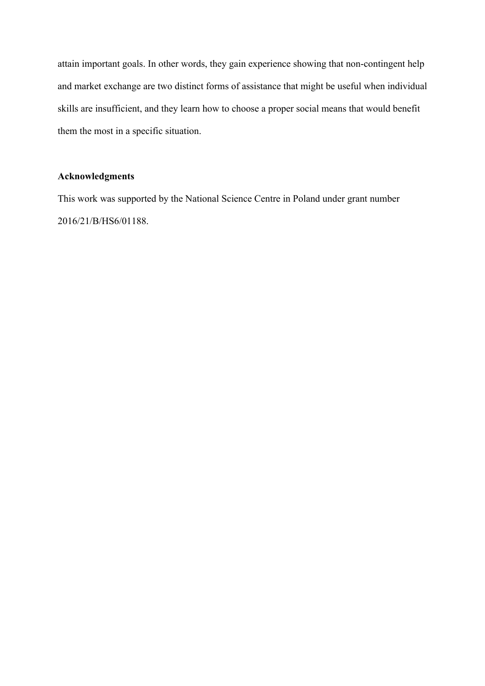attain important goals. In other words, they gain experience showing that non-contingent help and market exchange are two distinct forms of assistance that might be useful when individual skills are insufficient, and they learn how to choose a proper social means that would benefit them the most in a specific situation.

# **Acknowledgments**

This work was supported by the National Science Centre in Poland under grant number 2016/21/B/HS6/01188.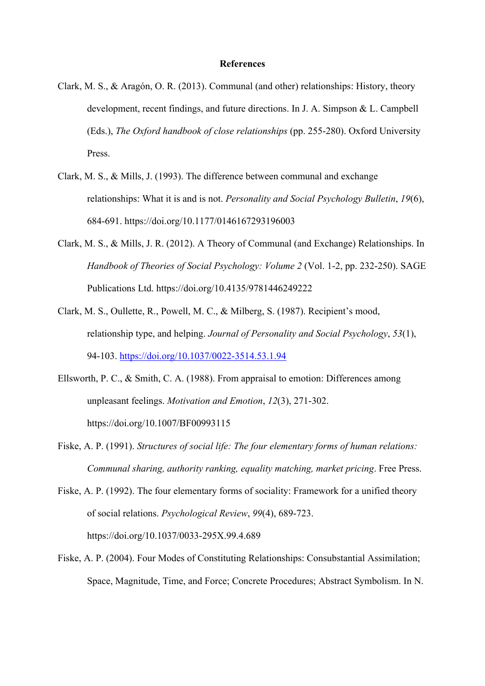## **References**

- Clark, M. S., & Aragón, O. R. (2013). Communal (and other) relationships: History, theory development, recent findings, and future directions. In J. A. Simpson & L. Campbell (Eds.), *The Oxford handbook of close relationships* (pp. 255-280). Oxford University Press.
- Clark, M. S., & Mills, J. (1993). The difference between communal and exchange relationships: What it is and is not. *Personality and Social Psychology Bulletin*, *19*(6), 684-691. https://doi.org/10.1177/0146167293196003
- Clark, M. S., & Mills, J. R. (2012). A Theory of Communal (and Exchange) Relationships. In *Handbook of Theories of Social Psychology: Volume 2* (Vol. 1-2, pp. 232-250). SAGE Publications Ltd. https://doi.org/10.4135/9781446249222
- Clark, M. S., Oullette, R., Powell, M. C., & Milberg, S. (1987). Recipient's mood, relationship type, and helping. *Journal of Personality and Social Psychology*, *53*(1), 94-103. https://doi.org/10.1037/0022-3514.53.1.94
- Ellsworth, P. C., & Smith, C. A. (1988). From appraisal to emotion: Differences among unpleasant feelings. *Motivation and Emotion*, *12*(3), 271-302. https://doi.org/10.1007/BF00993115
- Fiske, A. P. (1991). *Structures of social life: The four elementary forms of human relations: Communal sharing, authority ranking, equality matching, market pricing*. Free Press.
- Fiske, A. P. (1992). The four elementary forms of sociality: Framework for a unified theory of social relations. *Psychological Review*, *99*(4), 689-723. https://doi.org/10.1037/0033-295X.99.4.689
- Fiske, A. P. (2004). Four Modes of Constituting Relationships: Consubstantial Assimilation; Space, Magnitude, Time, and Force; Concrete Procedures; Abstract Symbolism. In N.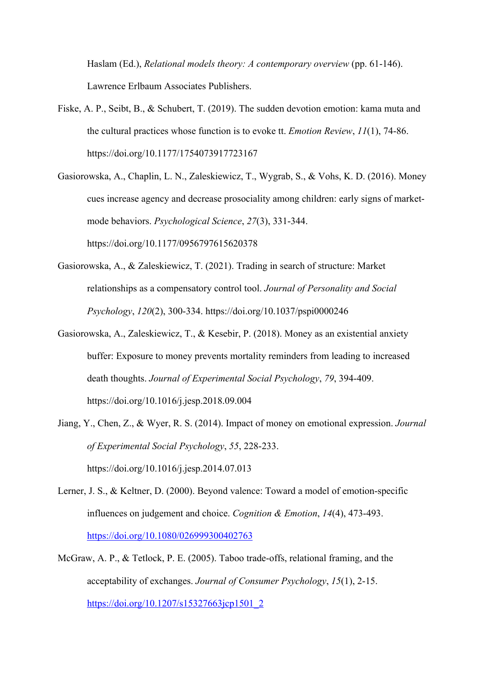Haslam (Ed.), *Relational models theory: A contemporary overview* (pp. 61-146). Lawrence Erlbaum Associates Publishers.

- Fiske, A. P., Seibt, B., & Schubert, T. (2019). The sudden devotion emotion: kama muta and the cultural practices whose function is to evoke tt. *Emotion Review*, *11*(1), 74-86. https://doi.org/10.1177/1754073917723167
- Gasiorowska, A., Chaplin, L. N., Zaleskiewicz, T., Wygrab, S., & Vohs, K. D. (2016). Money cues increase agency and decrease prosociality among children: early signs of marketmode behaviors. *Psychological Science*, *27*(3), 331-344. https://doi.org/10.1177/0956797615620378
- Gasiorowska, A., & Zaleskiewicz, T. (2021). Trading in search of structure: Market relationships as a compensatory control tool. *Journal of Personality and Social Psychology*, *120*(2), 300-334. https://doi.org/10.1037/pspi0000246
- Gasiorowska, A., Zaleskiewicz, T., & Kesebir, P. (2018). Money as an existential anxiety buffer: Exposure to money prevents mortality reminders from leading to increased death thoughts. *Journal of Experimental Social Psychology*, *79*, 394-409. https://doi.org/10.1016/j.jesp.2018.09.004
- Jiang, Y., Chen, Z., & Wyer, R. S. (2014). Impact of money on emotional expression. *Journal of Experimental Social Psychology*, *55*, 228-233. https://doi.org/10.1016/j.jesp.2014.07.013
- Lerner, J. S., & Keltner, D. (2000). Beyond valence: Toward a model of emotion-specific influences on judgement and choice. *Cognition & Emotion*, *14*(4), 473-493. https://doi.org/10.1080/026999300402763
- McGraw, A. P., & Tetlock, P. E. (2005). Taboo trade-offs, relational framing, and the acceptability of exchanges. *Journal of Consumer Psychology*, *15*(1), 2-15. https://doi.org/10.1207/s15327663jcp1501\_2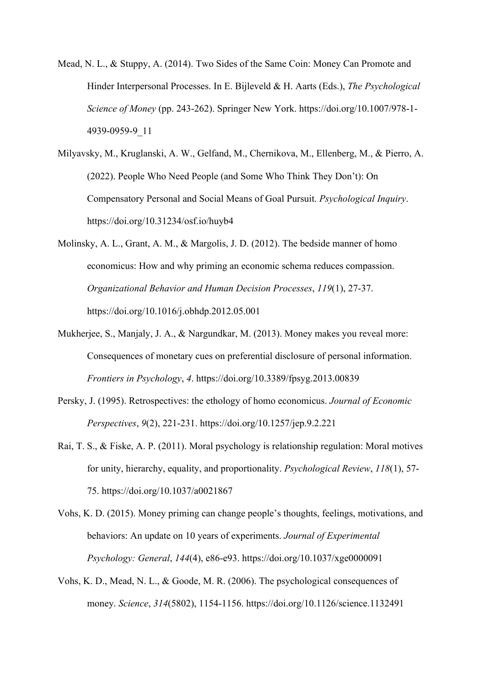- Mead, N. L., & Stuppy, A. (2014). Two Sides of the Same Coin: Money Can Promote and Hinder Interpersonal Processes. In E. Bijleveld & H. Aarts (Eds.), *The Psychological Science of Money* (pp. 243-262). Springer New York. https://doi.org/10.1007/978-1- 4939-0959-9\_11
- Milyavsky, M., Kruglanski, A. W., Gelfand, M., Chernikova, M., Ellenberg, M., & Pierro, A. (2022). People Who Need People (and Some Who Think They Don't): On Compensatory Personal and Social Means of Goal Pursuit. *Psychological Inquiry*. https://doi.org/10.31234/osf.io/huyb4
- Molinsky, A. L., Grant, A. M., & Margolis, J. D. (2012). The bedside manner of homo economicus: How and why priming an economic schema reduces compassion. *Organizational Behavior and Human Decision Processes*, *119*(1), 27-37. https://doi.org/10.1016/j.obhdp.2012.05.001
- Mukherjee, S., Manjaly, J. A., & Nargundkar, M. (2013). Money makes you reveal more: Consequences of monetary cues on preferential disclosure of personal information. *Frontiers in Psychology*, *4*. https://doi.org/10.3389/fpsyg.2013.00839
- Persky, J. (1995). Retrospectives: the ethology of homo economicus. *Journal of Economic Perspectives*, *9*(2), 221-231. https://doi.org/10.1257/jep.9.2.221
- Rai, T. S., & Fiske, A. P. (2011). Moral psychology is relationship regulation: Moral motives for unity, hierarchy, equality, and proportionality. *Psychological Review*, *118*(1), 57- 75. https://doi.org/10.1037/a0021867
- Vohs, K. D. (2015). Money priming can change people's thoughts, feelings, motivations, and behaviors: An update on 10 years of experiments. *Journal of Experimental Psychology: General*, *144*(4), e86-e93. https://doi.org/10.1037/xge0000091
- Vohs, K. D., Mead, N. L., & Goode, M. R. (2006). The psychological consequences of money. *Science*, *314*(5802), 1154-1156. https://doi.org/10.1126/science.1132491